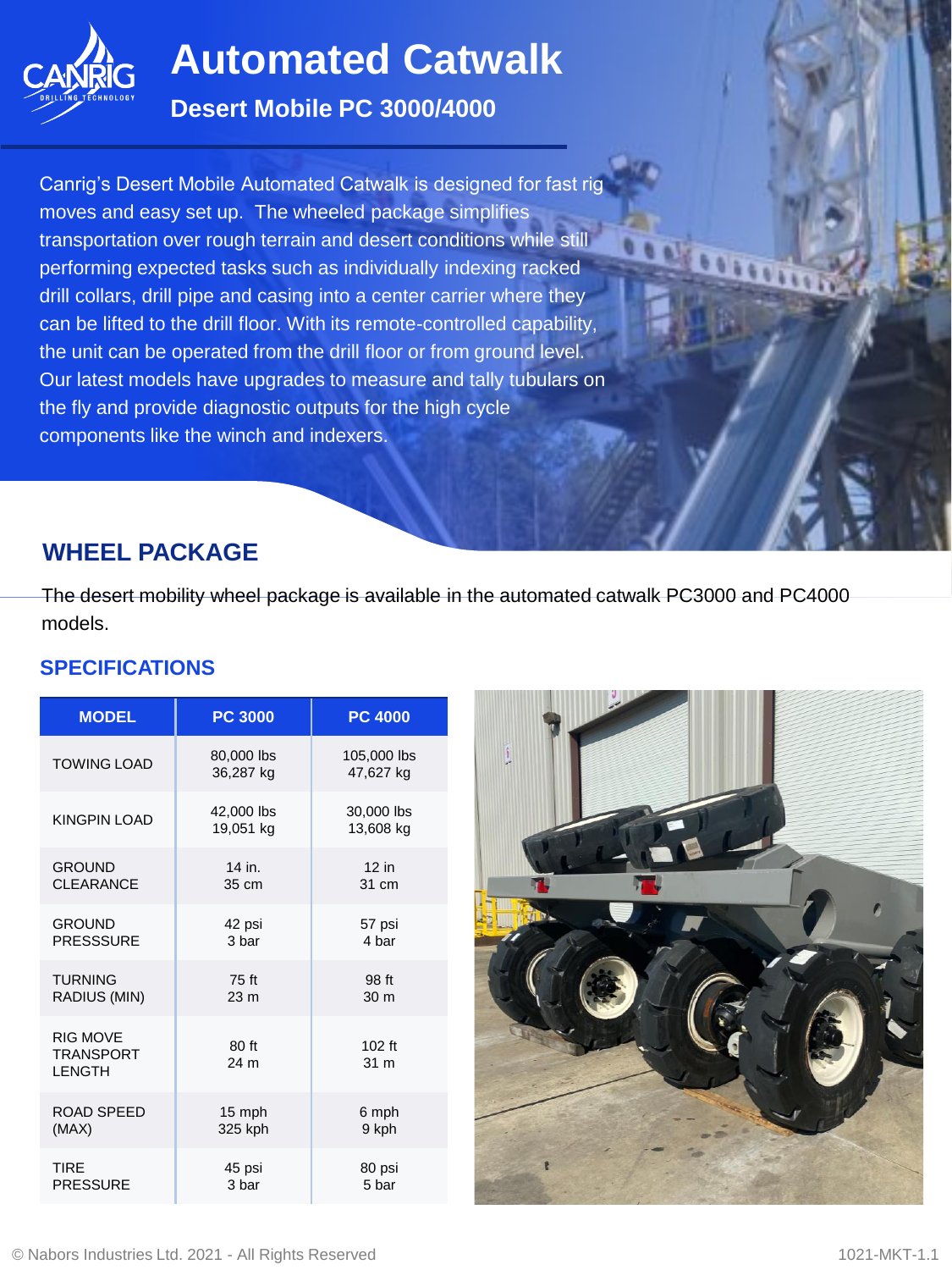

# **Automated Catwalk**

#### **Desert Mobile PC 3000/4000**

Canrig's Desert Mobile Automated Catwalk is designed for fast rig moves and easy set up. The wheeled package simplifies transportation over rough terrain and desert conditions while still performing expected tasks such as individually indexing racked drill collars, drill pipe and casing into a center carrier where they can be lifted to the drill floor. With its remote-controlled capability, the unit can be operated from the drill floor or from ground level. Our latest models have upgrades to measure and tally tubulars on the fly and provide diagnostic outputs for the high cycle components like the winch and indexers.

## **WHEEL PACKAGE**

The desert mobility wheel package is available in the automated catwalk PC3000 and PC4000 models.

#### **SPECIFICATIONS**

| <b>MODEL</b>                                         | <b>PC 3000</b>          | <b>PC 4000</b>           |
|------------------------------------------------------|-------------------------|--------------------------|
| <b>TOWING LOAD</b>                                   | 80,000 lbs<br>36,287 kg | 105,000 lbs<br>47,627 kg |
| <b>KINGPIN LOAD</b>                                  | 42,000 lbs<br>19,051 kg | 30,000 lbs<br>13,608 kg  |
| <b>GROUND</b>                                        | 14 in.                  | $12$ in                  |
| <b>CLEARANCE</b>                                     | 35 cm                   | 31 cm                    |
| <b>GROUND</b>                                        | 42 psi                  | 57 psi                   |
| <b>PRESSSURE</b>                                     | 3 bar                   | 4 har                    |
| <b>TURNING</b>                                       | 75 ft                   | 98 ft                    |
| RADIUS (MIN)                                         | 23 <sub>m</sub>         | 30 <sub>m</sub>          |
| <b>RIG MOVE</b><br><b>TRANSPORT</b><br><b>LENGTH</b> | 80 ft<br>24 m           | $102$ ft<br>31 m         |
| ROAD SPEED                                           | 15 mph                  | 6 mph                    |
| (MAX)                                                | 325 kph                 | 9 kph                    |
| <b>TIRE</b>                                          | 45 psi                  | 80 psi                   |
| <b>PRESSURE</b>                                      | 3 bar                   | 5 bar                    |